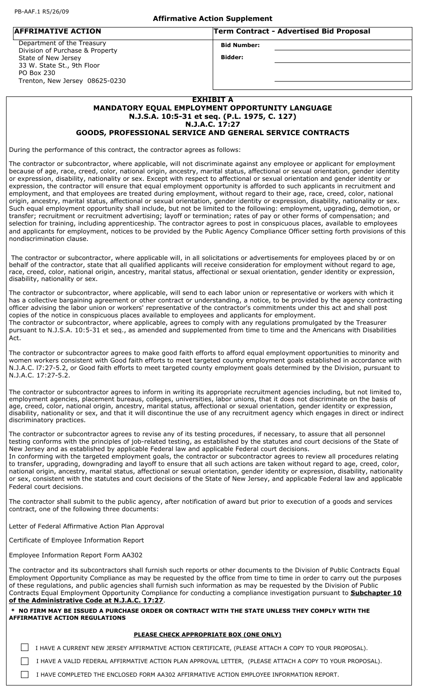### **Affirmative Action Supplement**

**Bid Number: AFFRIMATIVE ACTION Term Contract - Advertised Bid Proposal**

**Bidder:**

 Department of the Treasury Division of Purchase & Property State of New Jersey 33 W. State St., 9th Floor PO Box 230 Trenton, New Jersey 08625-0230

### **EXHIBIT A**

### **MANDATORY EQUAL EMPLOYMENT OPPORTUNITY LANGUAGE N.J.S.A. 10:5-31 et seq. (P.L. 1975, C. 127) N.J.A.C. 17:27**

### **GOODS, PROFESSIONAL SERVICE AND GENERAL SERVICE CONTRACTS**

During the performance of this contract, the contractor agrees as follows:

The contractor or subcontractor, where applicable, will not discriminate against any employee or applicant for employment because of age, race, creed, color, national origin, ancestry, marital status, affectional or sexual orientation, gender identity or expression, disability, nationality or sex. Except with respect to affectional or sexual orientation and gender identity or expression, the contractor will ensure that equal employment opportunity is afforded to such applicants in recruitment and employment, and that employees are treated during employment, without regard to their age, race, creed, color, national origin, ancestry, marital status, affectional or sexual orientation, gender identity or expression, disability, nationality or sex. Such equal employment opportunity shall include, but not be limited to the following: employment, upgrading, demotion, or transfer; recruitment or recruitment advertising; layoff or termination; rates of pay or other forms of compensation; and selection for training, including apprenticeship. The contractor agrees to post in conspicuous places, available to employees and applicants for employment, notices to be provided by the Public Agency Compliance Officer setting forth provisions of this nondiscrimination clause.

 The contractor or subcontractor, where applicable will, in all solicitations or advertisements for employees placed by or on behalf of the contractor, state that all qualified applicants will receive consideration for employment without regard to age, race, creed, color, national origin, ancestry, marital status, affectional or sexual orientation, gender identity or expression, disability, nationality or sex.

The contractor or subcontractor, where applicable, will send to each labor union or representative or workers with which it has a collective bargaining agreement or other contract or understanding, a notice, to be provided by the agency contracting officer advising the labor union or workers' representative of the contractor's commitments under this act and shall post copies of the notice in conspicuous places available to employees and applicants for employment. The contractor or subcontractor, where applicable, agrees to comply with any regulations promulgated by the Treasurer pursuant to N.J.S.A. 10:5-31 et seq., as amended and supplemented from time to time and the Americans with Disabilities Act.

The contractor or subcontractor agrees to make good faith efforts to afford equal employment opportunities to minority and women workers consistent with Good faith efforts to meet targeted county employment goals established in accordance with N.J.A.C. l7:27-5.2, or Good faith efforts to meet targeted county employment goals determined by the Division, pursuant to N.J.A.C. 17:27-5.2.

The contractor or subcontractor agrees to inform in writing its appropriate recruitment agencies including, but not limited to, employment agencies, placement bureaus, colleges, universities, labor unions, that it does not discriminate on the basis of age, creed, color, national origin, ancestry, marital status, affectional or sexual orientation, gender identity or expression, disability, nationality or sex, and that it will discontinue the use of any recruitment agency which engages in direct or indirect discriminatory practices.

The contractor or subcontractor agrees to revise any of its testing procedures, if necessary, to assure that all personnel testing conforms with the principles of job-related testing, as established by the statutes and court decisions of the State of New Jersey and as established by applicable Federal law and applicable Federal court decisions.

In conforming with the targeted employment goals, the contractor or subcontractor agrees to review all procedures relating to transfer, upgrading, downgrading and layoff to ensure that all such actions are taken without regard to age, creed, color, national origin, ancestry, marital status, affectional or sexual orientation, gender identity or expression, disability, nationality or sex, consistent with the statutes and court decisions of the State of New Jersey, and applicable Federal law and applicable Federal court decisions.

The contractor shall submit to the public agency, after notification of award but prior to execution of a goods and services contract, one of the following three documents:

Letter of Federal Affirmative Action Plan Approval

Certificate of Employee Information Report

Employee Information Report Form AA302

The contractor and its subcontractors shall furnish such reports or other documents to the Division of Public Contracts Equal Employment Opportunity Compliance as may be requested by the office from time to time in order to carry out the purposes of these regulations, and public agencies shall furnish such information as may be requested by the Division of Public Contracts Equal Employment Opportunity Compliance for conducting a compliance investigation pursuant to **Subchapter 10 of the Administrative Code at N.J.A.C. 17:27**.

### **\* NO FIRM MAY BE ISSUED A PURCHASE ORDER OR CONTRACT WITH THE STATE UNLESS THEY COMPLY WITH THE AFFIRMATIVE ACTION REGULATIONS**

#### **PLEASE CHECK APPROPRIATE BOX (ONE ONLY)**

I HAVE A CURRENT NEW JERSEY AFFIRMATIVE ACTION CERTIFICATE, (PLEASE ATTACH A COPY TO YOUR PROPOSAL).

I HAVE A VALID FEDERAL AFFIRMATIVE ACTION PLAN APPROVAL LETTER, (PLEASE ATTACH A COPY TO YOUR PROPOSAL).

I HAVE COMPLETED THE ENCLOSED FORM AA302 AFFIRMATIVE ACTION EMPLOYEE INFORMATION REPORT.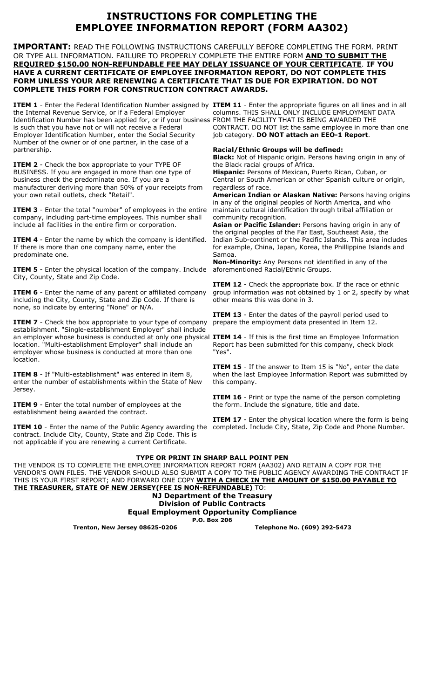# **INSTRUCTIONS FOR COMPLETING THE EMPLOYEE INFORMATION REPORT (FORM AA302)**

**IMPORTANT:** READ THE FOLLOWING INSTRUCTIONS CAREFULLY BEFORE COMPLETING THE FORM. PRINT OR TYPE ALL INFORMATION. FAILURE TO PROPERLY COMPLETE THE ENTIRE FORM **AND TO SUBMIT THE REQUIRED \$150.00 NON-REFUNDABLE FEE MAY DELAY ISSUANCE OF YOUR CERTIFICATE**. **IF YOU HAVE A CURRENT CERTIFICATE OF EMPLOYEE INFORMATION REPORT, DO NOT COMPLETE THIS FORM UNLESS YOUR ARE RENEWING A CERTIFICATE THAT IS DUE FOR EXPIRATION. DO NOT COMPLETE THIS FORM FOR CONSTRUCTION CONTRACT AWARDS.** 

the Internal Revenue Service, or if a Federal Employer Identification Number has been applied for, or if your business FROM THE FACILITY THAT IS BEING AWARDED THE is such that you have not or will not receive a Federal Employer Identification Number, enter the Social Security Number of the owner or of one partner, in the case of a partnership.

**ITEM 2** - Check the box appropriate to your TYPE OF BUSINESS. If you are engaged in more than one type of business check the predominate one. If you are a manufacturer deriving more than 50% of your receipts from your own retail outlets, check "Retail".

**ITEM 3** - Enter the total "number" of employees in the entire company, including part-time employees. This number shall include all facilities in the entire firm or corporation.

**ITEM 4** - Enter the name by which the company is identified. If there is more than one company name, enter the predominate one.

**ITEM 5** - Enter the physical location of the company. Include City, County, State and Zip Code.

**ITEM 6** - Enter the name of any parent or affiliated company including the City, County, State and Zip Code. If there is none, so indicate by entering "None" or N/A.

**ITEM 7** - Check the box appropriate to your type of company establishment. "Single-establishment Employer" shall include an employer whose business is conducted at only one physical **ITEM 14** - If this is the first time an Employee Information location. "Multi-establishment Employer" shall include an employer whose business is conducted at more than one location.

**ITEM 8** - If "Multi-establishment" was entered in item 8, enter the number of establishments within the State of New Jersey.

**ITEM 9** - Enter the total number of employees at the establishment being awarded the contract.

**ITEM 10** - Enter the name of the Public Agency awarding the completed. Include City, State, Zip Code and Phone Number. contract. Include City, County, State and Zip Code. This is not applicable if you are renewing a current Certificate.

**ITEM 1** - Enter the Federal Identification Number assigned by ITEM 11 - Enter the appropriate figures on all lines and in all columns. THIS SHALL ONLY INCLUDE EMPLOYMENT DATA CONTRACT. DO NOT list the same employee in more than one job category. **DO NOT attach an EEO-1 Report**.

### **Racial/Ethnic Groups will be defined:**

**Black:** Not of Hispanic origin. Persons having origin in any of the Black racial groups of Africa.

**Hispanic:** Persons of Mexican, Puerto Rican, Cuban, or Central or South American or other Spanish culture or origin, regardless of race.

**American Indian or Alaskan Native:** Persons having origins in any of the original peoples of North America, and who maintain cultural identification through tribal affiliation or community recognition.

**Asian or Pacific Islander:** Persons having origin in any of the original peoples of the Far East, Southeast Asia, the Indian Sub-continent or the Pacific Islands. This area includes for example, China, Japan, Korea, the Phillippine Islands and Samoa.

**Non-Minority:** Any Persons not identified in any of the aforementioned Racial/Ethnic Groups.

**ITEM 12** - Check the appropriate box. If the race or ethnic group information was not obtained by 1 or 2, specify by what other means this was done in 3.

**ITEM 13** - Enter the dates of the payroll period used to prepare the employment data presented in Item 12.

Report has been submitted for this company, check block "Yes".

**ITEM 15** - If the answer to Item 15 is "No", enter the date when the last Employee Information Report was submitted by this company.

**ITEM 16** - Print or type the name of the person completing the form. Include the signature, title and date.

**ITEM 17** - Enter the physical location where the form is being

### **TYPE OR PRINT IN SHARP BALL POINT PEN**

THE VENDOR IS TO COMPLETE THE EMPLOYEE INFORMATION REPORT FORM (AA302) AND RETAIN A COPY FOR THE VENDOR'S OWN FILES. THE VENDOR SHOULD ALSO SUBMIT A COPY TO THE PUBLIC AGENCY AWARDING THE CONTRACT IF THIS IS YOUR FIRST REPORT; AND FORWARD ONE COPY **WITH A CHECK IN THE AMOUNT OF \$150.00 PAYABLE TO THE TREASURER, STATE OF NEW JERSEY(FEE IS NON-REFUNDABLE)** TO:

### **NJ Department of the Treasury Division of Public Contracts Equal Employment Opportunity Compliance P.O. Box 206**

**Trenton, New Jersey 08625-0206 Telephone No. (609) 292-5473**